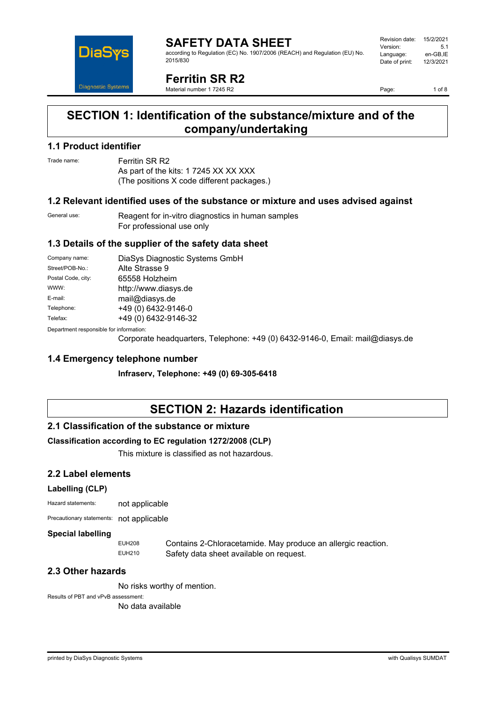

#### **SAFETY DATA SHEET** according to Regulation (EC) No. 1907/2006 (REACH) and Regulation (EU) No. 2015/830

| Revision date: | 15/2/2021 |
|----------------|-----------|
| Version:       | 5.1       |
| Language:      | en-GB,IE  |
| Date of print: | 12/3/2021 |
|                |           |

**Ferritin SR R2**

Material number 1 7245 R2

Page: 1 of 8

# **SECTION 1: Identification of the substance/mixture and of the company/undertaking**

### **1.1 Product identifier**

Trade name: Ferritin SR R2

As part of the kits: 1 7245 XX XX XXX (The positions X code different packages.)

### **1.2 Relevant identified uses of the substance or mixture and uses advised against**

General use: Reagent for in-vitro diagnostics in human samples For professional use only

### **1.3 Details of the supplier of the safety data sheet**

| Company name:                            | DiaSys Diagnostic Systems GmbH |
|------------------------------------------|--------------------------------|
| Street/POB-No.:                          | Alte Strasse 9                 |
| Postal Code, city:                       | 65558 Holzheim                 |
| WWW:                                     | http://www.diasys.de           |
| E-mail:                                  | mail@diasys.de                 |
| Telephone:                               | +49 (0) 6432-9146-0            |
| Telefax:                                 | +49 (0) 6432-9146-32           |
| Denemberek vernemaikte fan informaatien: |                                |

Department responsible for information:

Corporate headquarters, Telephone: +49 (0) 6432-9146-0, Email: mail@diasys.de

### **1.4 Emergency telephone number**

**Infraserv, Telephone: +49 (0) 69-305-6418**

# **SECTION 2: Hazards identification**

### **2.1 Classification of the substance or mixture**

### **Classification according to EC regulation 1272/2008 (CLP)**

This mixture is classified as not hazardous.

### **2.2 Label elements**

### **Labelling (CLP)**

| Hazard statements: | not applicable |
|--------------------|----------------|
|                    |                |

Precautionary statements: not applicable

### **Special labelling**

EUH208 Contains 2-Chloracetamide. May produce an allergic reaction.<br>EUH210 Safety data sheet available on request Safety data sheet available on request.

### **2.3 Other hazards**

No risks worthy of mention.

Results of PBT and vPvB assessment:

No data available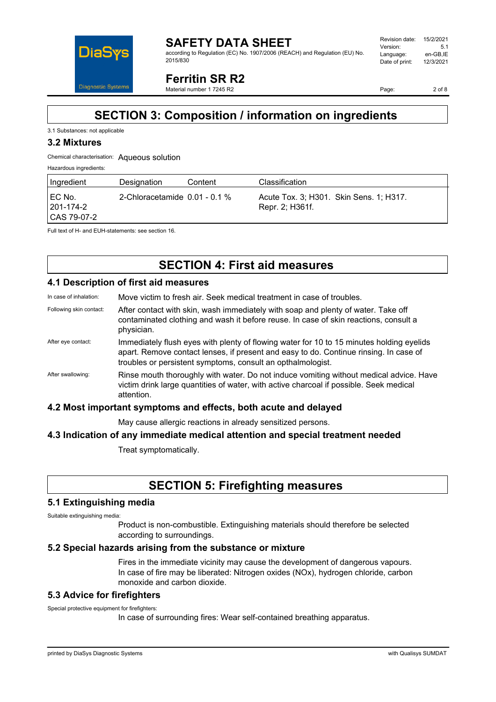

**SAFETY DATA SHEET** according to Regulation (EC) No. 1907/2006 (REACH) and Regulation (EU) No. 2015/830

**Ferritin SR R2**

Material number 1 7245 R2

Page: 2 of 8

# **SECTION 3: Composition / information on ingredients**

#### 3.1 Substances: not applicable

### **3.2 Mixtures**

#### Chemical characterisation: Aqueous solution

Hazardous ingredients:

| Ingredient                           | Designation                      | Content | Classification                                             |
|--------------------------------------|----------------------------------|---------|------------------------------------------------------------|
| I EC No.<br>201-174-2<br>CAS 79-07-2 | 2-Chloracetamide $0.01 - 0.1 \%$ |         | Acute Tox. 3; H301. Skin Sens. 1; H317.<br>Repr. 2; H361f. |

Full text of H- and EUH-statements: see section 16.

# **SECTION 4: First aid measures**

### **4.1 Description of first aid measures**

In case of inhalation: Move victim to fresh air. Seek medical treatment in case of troubles.

- Following skin contact: After contact with skin, wash immediately with soap and plenty of water. Take off contaminated clothing and wash it before reuse. In case of skin reactions, consult a physician.
- After eye contact: Immediately flush eyes with plenty of flowing water for 10 to 15 minutes holding eyelids apart. Remove contact lenses, if present and easy to do. Continue rinsing. In case of troubles or persistent symptoms, consult an opthalmologist.
- After swallowing: Rinse mouth thoroughly with water. Do not induce vomiting without medical advice. Have victim drink large quantities of water, with active charcoal if possible. Seek medical attention.

### **4.2 Most important symptoms and effects, both acute and delayed**

May cause allergic reactions in already sensitized persons.

### **4.3 Indication of any immediate medical attention and special treatment needed**

Treat symptomatically.

# **SECTION 5: Firefighting measures**

### **5.1 Extinguishing media**

Suitable extinguishing media:

Product is non-combustible. Extinguishing materials should therefore be selected according to surroundings.

### **5.2 Special hazards arising from the substance or mixture**

Fires in the immediate vicinity may cause the development of dangerous vapours. In case of fire may be liberated: Nitrogen oxides (NOx), hydrogen chloride, carbon monoxide and carbon dioxide.

### **5.3 Advice for firefighters**

Special protective equipment for firefighters:

In case of surrounding fires: Wear self-contained breathing apparatus.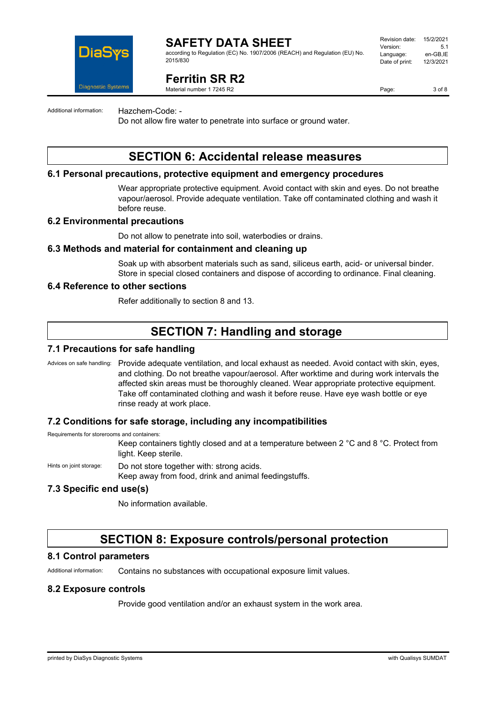

according to Regulation (EC) No. 1907/2006 (REACH) and Regulation (EU) No. 2015/830

#### Revision date: 15/2/2021 Version: 5.1 Language: en-GB,IE<br>Date of print: 12/3/2021 Date of print:

**Ferritin SR R2**

Material number 1 7245 R2

Page: 3 of 8

Additional information: Hazchem-Code: -

Do not allow fire water to penetrate into surface or ground water.

### **SECTION 6: Accidental release measures**

### **6.1 Personal precautions, protective equipment and emergency procedures**

Wear appropriate protective equipment. Avoid contact with skin and eyes. Do not breathe vapour/aerosol. Provide adequate ventilation. Take off contaminated clothing and wash it before reuse.

#### **6.2 Environmental precautions**

Do not allow to penetrate into soil, waterbodies or drains.

#### **6.3 Methods and material for containment and cleaning up**

Soak up with absorbent materials such as sand, siliceus earth, acid- or universal binder. Store in special closed containers and dispose of according to ordinance. Final cleaning.

#### **6.4 Reference to other sections**

Refer additionally to section 8 and 13.

### **SECTION 7: Handling and storage**

#### **7.1 Precautions for safe handling**

Advices on safe handling: Provide adequate ventilation, and local exhaust as needed. Avoid contact with skin, eyes, and clothing. Do not breathe vapour/aerosol. After worktime and during work intervals the affected skin areas must be thoroughly cleaned. Wear appropriate protective equipment. Take off contaminated clothing and wash it before reuse. Have eye wash bottle or eye rinse ready at work place.

### **7.2 Conditions for safe storage, including any incompatibilities**

Requirements for storerooms and containers:

Keep containers tightly closed and at a temperature between 2 °C and 8 °C. Protect from light. Keep sterile.

Hints on joint storage: Do not store together with: strong acids.

Keep away from food, drink and animal feedingstuffs.

### **7.3 Specific end use(s)**

No information available.

### **SECTION 8: Exposure controls/personal protection**

#### **8.1 Control parameters**

Additional information: Contains no substances with occupational exposure limit values.

### **8.2 Exposure controls**

Provide good ventilation and/or an exhaust system in the work area.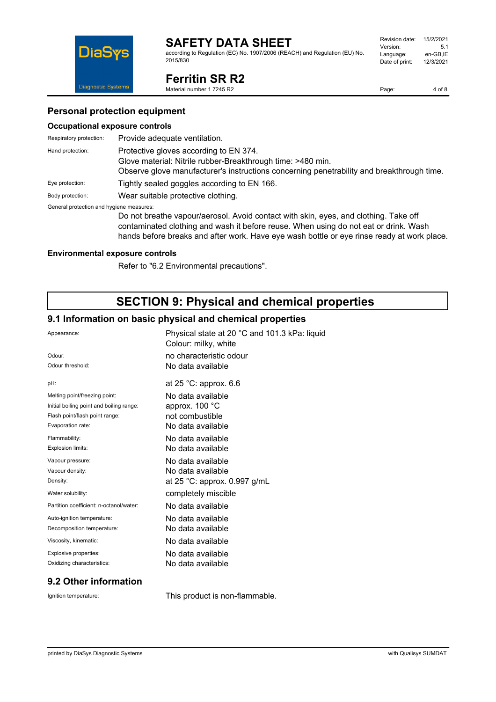according to Regulation (EC) No. 1907/2006 (REACH) and Regulation (EU) No. 2015/830



**Ferritin SR R2**

Material number 1 7245 R2

Page: 4 of 8

### **Personal protection equipment**

#### **Occupational exposure controls**

| Respiratory protection:                  | Provide adequate ventilation.                                                                                                                                                                      |
|------------------------------------------|----------------------------------------------------------------------------------------------------------------------------------------------------------------------------------------------------|
| Hand protection:                         | Protective gloves according to EN 374.<br>Glove material: Nitrile rubber-Breakthrough time: >480 min.<br>Observe glove manufacturer's instructions concerning penetrability and breakthrough time. |
| Eye protection:                          | Tightly sealed goggles according to EN 166.                                                                                                                                                        |
| Body protection:                         | Wear suitable protective clothing.                                                                                                                                                                 |
| General protection and hygiene measures: |                                                                                                                                                                                                    |

Do not breathe vapour/aerosol. Avoid contact with skin, eyes, and clothing. Take off contaminated clothing and wash it before reuse. When using do not eat or drink. Wash hands before breaks and after work. Have eye wash bottle or eye rinse ready at work place.

### **Environmental exposure controls**

Refer to "6.2 Environmental precautions".

# **SECTION 9: Physical and chemical properties**

### **9.1 Information on basic physical and chemical properties**

| Appearance:                              | Physical state at 20 °C and 101.3 kPa: liquid<br>Colour: milky, white |
|------------------------------------------|-----------------------------------------------------------------------|
| Odour:                                   | no characteristic odour                                               |
| Odour threshold:                         | No data available                                                     |
| pH:                                      | at $25$ °C: approx. 6.6                                               |
| Melting point/freezing point:            | No data available                                                     |
| Initial boiling point and boiling range: | approx. 100 °C                                                        |
| Flash point/flash point range:           | not combustible                                                       |
| Evaporation rate:                        | No data available                                                     |
| Flammability:                            | No data available                                                     |
| Explosion limits:                        | No data available                                                     |
| Vapour pressure:                         | No data available                                                     |
| Vapour density:                          | No data available                                                     |
| Density:                                 | at 25 °C: approx. $0.997$ g/mL                                        |
| Water solubility:                        | completely miscible                                                   |
| Partition coefficient: n-octanol/water:  | No data available                                                     |
| Auto-ignition temperature:               | No data available                                                     |
| Decomposition temperature:               | No data available                                                     |
| Viscosity, kinematic:                    | No data available                                                     |
| Explosive properties:                    | No data available                                                     |
| Oxidizing characteristics:               | No data available                                                     |
|                                          |                                                                       |

### **9.2 Other information**

Ignition temperature: This product is non-flammable.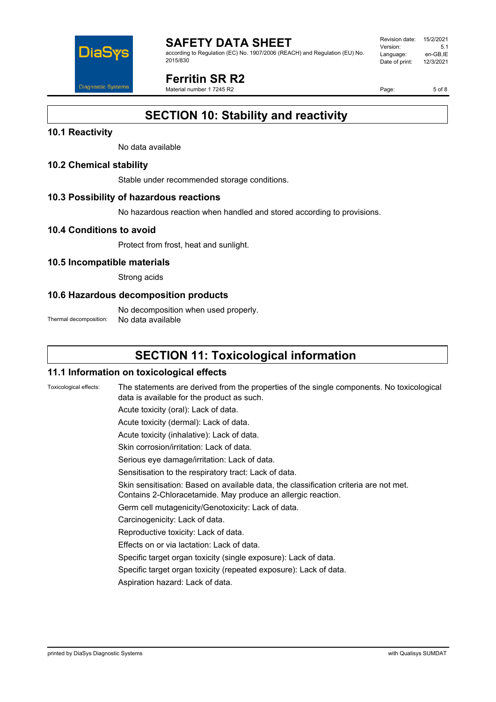

according to Regulation (EC) No. 1907/2006 (REACH) and Regulation (EU) No. 2015/830

Revision date: 15/2/2021 Version: 5.1 Language: en-GB,IE<br>Date of print: 12/3/2021 Date of print:

# **Ferritin SR R2**

Material number 1 7245 R2

Page: 5 of 8

# **SECTION 10: Stability and reactivity**

### **10.1 Reactivity**

No data available

### **10.2 Chemical stability**

Stable under recommended storage conditions.

### **10.3 Possibility of hazardous reactions**

No hazardous reaction when handled and stored according to provisions.

### **10.4 Conditions to avoid**

Protect from frost, heat and sunlight.

### **10.5 Incompatible materials**

Strong acids

### **10.6 Hazardous decomposition products**

No decomposition when used properly. Thermal decomposition: No data available

# **SECTION 11: Toxicological information**

### **11.1 Information on toxicological effects**

Toxicological effects: The statements are derived from the properties of the single components. No toxicological data is available for the product as such.

Acute toxicity (oral): Lack of data.

Acute toxicity (dermal): Lack of data.

Acute toxicity (inhalative): Lack of data.

Skin corrosion/irritation: Lack of data.

Serious eye damage/irritation: Lack of data.

Sensitisation to the respiratory tract: Lack of data.

Skin sensitisation: Based on available data, the classification criteria are not met. Contains 2-Chloracetamide. May produce an allergic reaction.

Germ cell mutagenicity/Genotoxicity: Lack of data.

Carcinogenicity: Lack of data.

- Reproductive toxicity: Lack of data.
- Effects on or via lactation: Lack of data.

Specific target organ toxicity (single exposure): Lack of data.

Specific target organ toxicity (repeated exposure): Lack of data.

Aspiration hazard: Lack of data.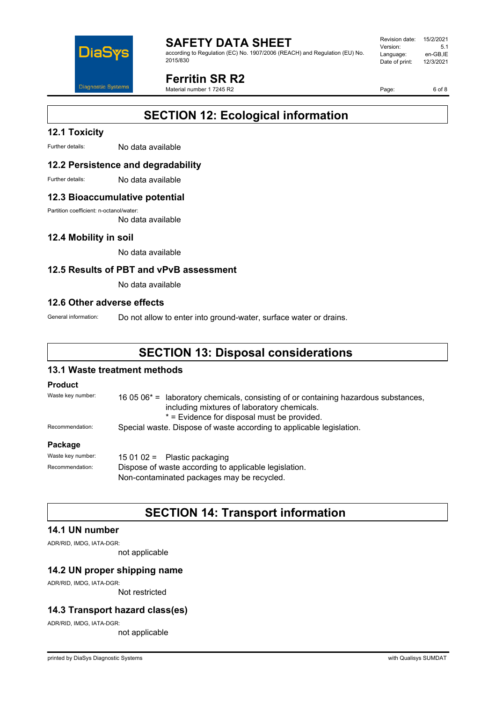

according to Regulation (EC) No. 1907/2006 (REACH) and Regulation (EU) No. 2015/830

Revision date: 15/2/2021 Version: 5.1 Language: en-GB,IE<br>Date of print: 12/3/2021 Date of print:

# **Ferritin SR R2**

Material number 1 7245 R2

Page: 6 of 8

# **SECTION 12: Ecological information**

### **12.1 Toxicity**

Further details: No data available

### **12.2 Persistence and degradability**

Further details: No data available

#### **12.3 Bioaccumulative potential**

Partition coefficient: n-octanol/water:

No data available

### **12.4 Mobility in soil**

No data available

### **12.5 Results of PBT and vPvB assessment**

No data available

#### **12.6 Other adverse effects**

General information: Do not allow to enter into ground-water, surface water or drains.

# **SECTION 13: Disposal considerations**

### **13.1 Waste treatment methods**

#### **Product**

| Waste key number: | 16 05 $06^*$ = laboratory chemicals, consisting of or containing hazardous substances,<br>including mixtures of laboratory chemicals.<br>* = Evidence for disposal must be provided. |  |
|-------------------|--------------------------------------------------------------------------------------------------------------------------------------------------------------------------------------|--|
| Recommendation:   | Special waste. Dispose of waste according to applicable legislation.                                                                                                                 |  |
| Package           |                                                                                                                                                                                      |  |
| Waste key number: | 15 01 02 = Plastic packaging                                                                                                                                                         |  |

Recommendation: Dispose of waste according to applicable legislation. Non-contaminated packages may be recycled.

### **SECTION 14: Transport information**

### **14.1 UN number**

ADR/RID, IMDG, IATA-DGR:

not applicable

### **14.2 UN proper shipping name**

ADR/RID, IMDG, IATA-DGR:

Not restricted

### **14.3 Transport hazard class(es)**

ADR/RID, IMDG, IATA-DGR:

not applicable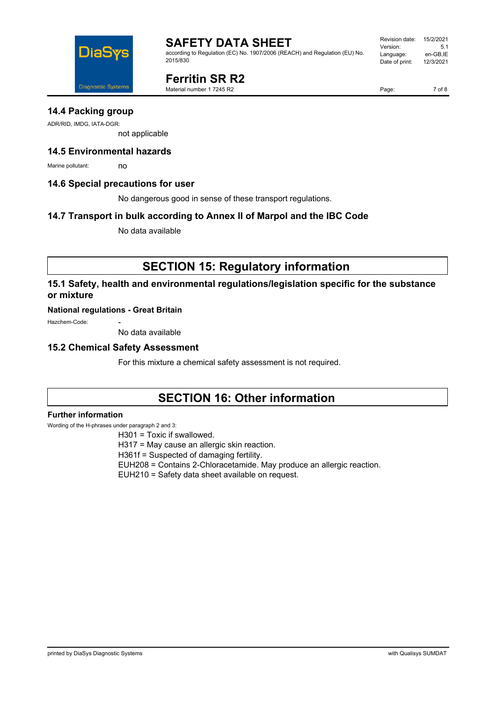

according to Regulation (EC) No. 1907/2006 (REACH) and Regulation (EU) No. 2015/830

#### Revision date: 15/2/2021 Version: 5.1 Language: en-GB,IE<br>Date of print: 12/3/2021 Date of print:

**Ferritin SR R2**

Material number 1 7245 R2

Page: 7 of 8

**14.4 Packing group**

ADR/RID, IMDG, IATA-DGR:

not applicable

### **14.5 Environmental hazards**

Marine pollutant: no

### **14.6 Special precautions for user**

No dangerous good in sense of these transport regulations.

### **14.7 Transport in bulk according to Annex II of Marpol and the IBC Code**

No data available

# **SECTION 15: Regulatory information**

### **15.1 Safety, health and environmental regulations/legislation specific for the substance or mixture**

### **National regulations - Great Britain**

Hazchem-Code:

No data available

### **15.2 Chemical Safety Assessment**

For this mixture a chemical safety assessment is not required.

# **SECTION 16: Other information**

### **Further information**

Wording of the H-phrases under paragraph 2 and 3:

H301 = Toxic if swallowed.

H317 = May cause an allergic skin reaction.

H361f = Suspected of damaging fertility.

EUH208 = Contains 2-Chloracetamide. May produce an allergic reaction.

EUH210 = Safety data sheet available on request.